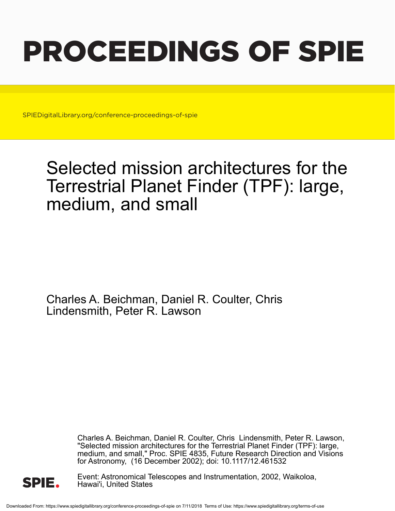# PROCEEDINGS OF SPIE

SPIEDigitalLibrary.org/conference-proceedings-of-spie

## Selected mission architectures for the Terrestrial Planet Finder (TPF): large, medium, and small

Charles A. Beichman, Daniel R. Coulter, Chris Lindensmith, Peter R. Lawson

> Charles A. Beichman, Daniel R. Coulter, Chris Lindensmith, Peter R. Lawson, "Selected mission architectures for the Terrestrial Planet Finder (TPF): large, medium, and small," Proc. SPIE 4835, Future Research Direction and Visions for Astronomy, (16 December 2002); doi: 10.1117/12.461532



Event: Astronomical Telescopes and Instrumentation, 2002, Waikoloa, Hawai'i, United States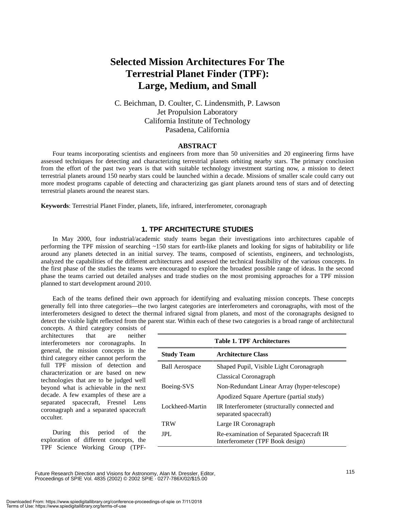### **Selected Mission Architectures For The Terrestrial Planet Finder (TPF): Large, Medium, and Small**

C. Beichman, D. Coulter, C. Lindensmith, P. Lawson Jet Propulsion Laboratory California Institute of Technology Pasadena, California

#### **ABSTRACT**

Four teams incorporating scientists and engineers from more than 50 universities and 20 engineering firms have assessed techniques for detecting and characterizing terrestrial planets orbiting nearby stars. The primary conclusion from the effort of the past two years is that with suitable technology investment starting now, a mission to detect terrestrial planets around 150 nearby stars could be launched within a decade. Missions of smaller scale could carry out more modest programs capable of detecting and characterizing gas giant planets around tens of stars and of detecting terrestrial planets around the nearest stars.

**Keywords**: Terrestrial Planet Finder, planets, life, infrared, interferometer, coronagraph

#### **1. TPF ARCHITECTURE STUDIES**

In May 2000, four industrial/academic study teams began their investigations into architectures capable of performing the TPF mission of searching ~150 stars for earth-like planets and looking for signs of habitability or life around any planets detected in an initial survey. The teams, composed of scientists, engineers, and technologists, analyzed the capabilities of the different architectures and assessed the technical feasibility of the various concepts. In the first phase of the studies the teams were encouraged to explore the broadest possible range of ideas. In the second phase the teams carried out detailed analyses and trade studies on the most promising approaches for a TPF mission planned to start development around 2010.

Each of the teams defined their own approach for identifying and evaluating mission concepts. These concepts generally fell into three categories—the two largest categories are interferometers and coronagraphs, with most of the interferometers designed to detect the thermal infrared signal from planets, and most of the coronagraphs designed to detect the visible light reflected from the parent star. Within each of these two categories is a broad range of architectural

concepts. A third category consists of architectures that are neither interferometers nor coronagraphs. In general, the mission concepts in the third category either cannot perform the full TPF mission of detection and characterization or are based on new technologies that are to be judged well beyond what is achievable in the next decade. A few examples of these are a separated spacecraft, Fresnel Lens coronagraph and a separated spacecraft occulter.

During this period of the exploration of different concepts, the TPF Science Working Group (TPF-

| <b>Table 1. TPF Architectures</b>                                             |  |  |  |
|-------------------------------------------------------------------------------|--|--|--|
| <b>Architecture Class</b>                                                     |  |  |  |
| Shaped Pupil, Visible Light Coronagraph                                       |  |  |  |
| Classical Coronagraph                                                         |  |  |  |
| Non-Redundant Linear Array (hyper-telescope)                                  |  |  |  |
| Apodized Square Aperture (partial study)                                      |  |  |  |
| IR Interferometer (structurally connected and<br>separated spacecraft)        |  |  |  |
| Large IR Coronagraph                                                          |  |  |  |
| Re-examination of Separated Spacecraft IR<br>Interferometer (TPF Book design) |  |  |  |
|                                                                               |  |  |  |

Future Research Direction and Visions for Astronomy, Alan M. Dressler, Editor, Proceedings of SPIE Vol. 4835 (2002) © 2002 SPIE · 0277-786X/02/\$15.00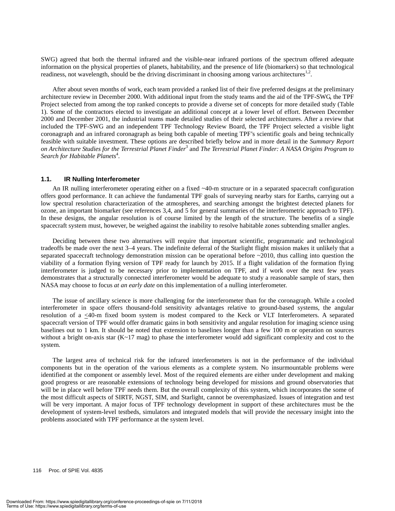SWG) agreed that both the thermal infrared and the visible-near infrared portions of the spectrum offered adequate information on the physical properties of planets, habitability, and the presence of life (biomarkers) so that technological readiness, not wavelength, should be the driving discriminant in choosing among various architectures $^{1,2}$ .

After about seven months of work, each team provided a ranked list of their five preferred designs at the preliminary architecture review in December 2000. With additional input from the study teams and the aid of the TPF-SWG, the TPF Project selected from among the top ranked concepts to provide a diverse set of concepts for more detailed study (Table 1). Some of the contractors elected to investigate an additional concept at a lower level of effort. Between December 2000 and December 2001, the industrial teams made detailed studies of their selected architectures. After a review that included the TPF-SWG and an independent TPF Technology Review Board, the TPF Project selected a visible light coronagraph and an infrared coronagraph as being both capable of meeting TPF's scientific goals and being technically feasible with suitable investment. These options are described briefly below and in more detail in the *Summary Report on Architecture Studies for the Terrestrial Planet Finder*<sup>3</sup> and *The Terrestrial Planet Finder: A NASA Origins Program to*  Search for Habitable Planets<sup>4</sup>.

#### **1.1. IR Nulling Interferometer**

An IR nulling interferometer operating either on a fixed ~40-m structure or in a separated spacecraft configuration offers good performance. It can achieve the fundamental TPF goals of surveying nearby stars for Earths, carrying out a low spectral resolution characterization of the atmospheres, and searching amongst the brightest detected planets for ozone, an important biomarker (see references 3,4, and 5 for general summaries of the interferometric approach to TPF). In these designs, the angular resolution is of course limited by the length of the structure. The benefits of a single spacecraft system must, however, be weighed against the inability to resolve habitable zones subtending smaller angles.

Deciding between these two alternatives will require that important scientific, programmatic and technological tradeoffs be made over the next 3–4 years. The indefinite deferral of the Starlight flight mission makes it unlikely that a separated spacecraft technology demonstration mission can be operational before ~2010, thus calling into question the viability of a formation flying version of TPF ready for launch by 2015. If a flight validation of the formation flying interferometer is judged to be necessary prior to implementation on TPF, and if work over the next few years demonstrates that a structurally connected interferometer would be adequate to study a reasonable sample of stars, then NASA may choose to focus *at an early date* on this implementation of a nulling interferometer.

The issue of ancillary science is more challenging for the interferometer than for the coronagraph. While a cooled interferometer in space offers thousand-fold sensitivity advantages relative to ground-based systems, the angular resolution of a  $\leq 40$ -m fixed boom system is modest compared to the Keck or VLT Interferometers. A separated spacecraft version of TPF would offer dramatic gains in both sensitivity and angular resolution for imaging science using baselines out to 1 km. It should be noted that extension to baselines longer than a few 100 m or operation on sources without a bright on-axis star  $(K \sim 17 \text{ mag})$  to phase the interferometer would add significant complexity and cost to the system.

The largest area of technical risk for the infrared interferometers is not in the performance of the individual components but in the operation of the various elements as a complete system. No insurmountable problems were identified at the component or assembly level. Most of the required elements are either under development and making good progress or are reasonable extensions of technology being developed for missions and ground observatories that will be in place well before TPF needs them. But the overall complexity of this system, which incorporates the some of the most difficult aspects of SIRTF, NGST, SIM, and Starlight, cannot be overemphasized. Issues of integration and test will be very important. A major focus of TPF technology development in support of these architectures must be the development of system-level testbeds, simulators and integrated models that will provide the necessary insight into the problems associated with TPF performance at the system level.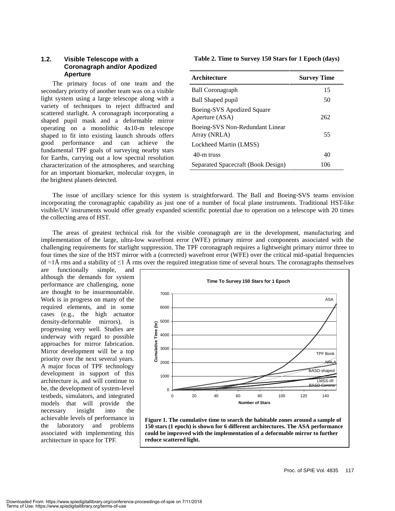#### **1.2. Visible Telescope with a Coronagraph and/or Apodized Aperture**

The primary focus of one team and the secondary priority of another team was on a visible light system using a large telescope along with a variety of techniques to reject diffracted and scattered starlight. A coronagraph incorporating a shaped pupil mask and a deformable mirror operating on a monolithic 4x10-m telescope shaped to fit into existing launch shrouds offers good performance and can achieve the fundamental TPF goals of surveying nearby stars for Earths, carrying out a low spectral resolution characterization of the atmospheres, and searching for an important biomarker, molecular oxygen, in the brightest planets detected.

**Table 2. Time to Survey 150 Stars for 1 Epoch (days)** 

| Architecture                                    | <b>Survey Time</b> |
|-------------------------------------------------|--------------------|
| <b>Ball Coronagraph</b>                         | 15                 |
| Ball Shaped pupil                               | 50                 |
| Boeing-SVS Apodized Square<br>Aperture (ASA)    | 262                |
| Boeing-SVS Non-Redundant Linear<br>Array (NRLA) | 55                 |
| Lockheed Martin (LMSS)                          |                    |
| 40-m truss                                      | 40                 |
| Separated Spacecraft (Book Design)              | 106                |

The issue of ancillary science for this system is straightforward. The Ball and Boeing-SVS teams envision incorporating the coronagraphic capability as just one of a number of focal plane instruments. Traditional HST-like visible/UV instruments would offer greatly expanded scientific potential due to operation on a telescope with 20 times the collecting area of HST.

The areas of greatest technical risk for the visible coronagraph are in the development, manufacturing and implementation of the large, ultra-low wavefront error (WFE) primary mirror and components associated with the challenging requirements for starlight suppression. The TPF coronagraph requires a lightweight primary mirror three to four times the size of the HST mirror with a (corrected) wavefront error (WFE) over the critical mid-spatial frequencies of  $\approx$ 1Å rms and a stability of  $\leq$ 1Å rms over the required integration time of several hours. The coronagraphs themselves

are functionally simple, and although the demands for system performance are challenging, none are thought to be insurmountable. Work is in progress on many of the required elements, and in some cases (e.g., the high actuator density-deformable mirrors), is progressing very well. Studies are underway with regard to possible approaches for mirror fabrication. Mirror development will be a top priority over the next several years. A major focus of TPF technology development in support of this architecture is, and will continue to be, the development of system-level testbeds, simulators, and integrated models that will provide the necessary insight into the achievable levels of performance in the laboratory and problems associated with implementing this architecture in space for TPF.



**Figure 1. The cumulative time to search the habitable zones around a sample of 150 stars (1 epoch) is shown for 6 different architectures. The ASA performance could be improved with the implementation of a deformable mirror to further reduce scattered light.**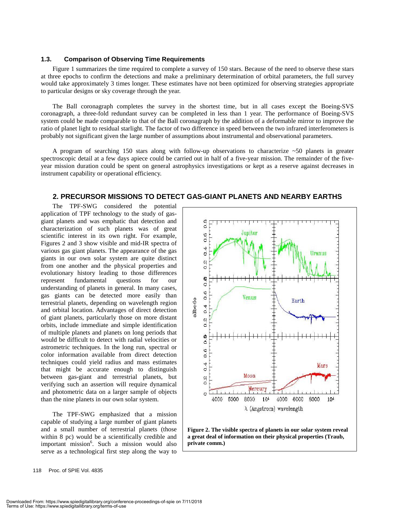#### **1.3. Comparison of Observing Time Requirements**

Figure 1 summarizes the time required to complete a survey of 150 stars. Because of the need to observe these stars at three epochs to confirm the detections and make a preliminary determination of orbital parameters, the full survey would take approximately 3 times longer. These estimates have not been optimized for observing strategies appropriate to particular designs or sky coverage through the year.

The Ball coronagraph completes the survey in the shortest time, but in all cases except the Boeing-SVS coronagraph, a three-fold redundant survey can be completed in less than 1 year. The performance of Boeing-SVS system could be made comparable to that of the Ball coronagraph by the addition of a deformable mirror to improve the ratio of planet light to residual starlight. The factor of two difference in speed between the two infrared interferometers is probably not significant given the large number of assumptions about instrumental and observational parameters.

A program of searching 150 stars along with follow-up observations to characterize ~50 planets in greater spectroscopic detail at a few days apiece could be carried out in half of a five-year mission. The remainder of the fiveyear mission duration could be spent on general astrophysics investigations or kept as a reserve against decreases in instrument capability or operational efficiency.

#### **2. PRECURSOR MISSIONS TO DETECT GAS-GIANT PLANETS AND NEARBY EARTHS**

The TPF-SWG considered the potential application of TPF technology to the study of gasgiant planets and was emphatic that detection and characterization of such planets was of great scientific interest in its own right. For example, Figures 2 and 3 show visible and mid-IR spectra of various gas giant planets. The appearance of the gas giants in our own solar system are quite distinct from one another and the physical properties and evolutionary history leading to those differences represent fundamental questions for our understanding of planets in general. In many cases, gas giants can be detected more easily than terrestrial planets, depending on wavelength region and orbital location. Advantages of direct detection of giant planets, particularly those on more distant orbits, include immediate and simple identification of multiple planets and planets on long periods that would be difficult to detect with radial velocities or astrometric techniques. In the long run, spectral or color information available from direct detection techniques could yield radius and mass estimates that might be accurate enough to distinguish between gas-giant and terrestrial planets, but verifying such an assertion will require dynamical and photometric data on a larger sample of objects than the nine planets in our own solar system.

The TPF-SWG emphasized that a mission capable of studying a large number of giant planets and a small number of terrestrial planets (those within 8 pc) would be a scientifically credible and important mission<sup>6</sup>. Such a mission would also serve as a technological first step along the way to



**Figure 2. The visible spectra of planets in our solar system reveal a great deal of information on their physical properties (Traub, private comm.)**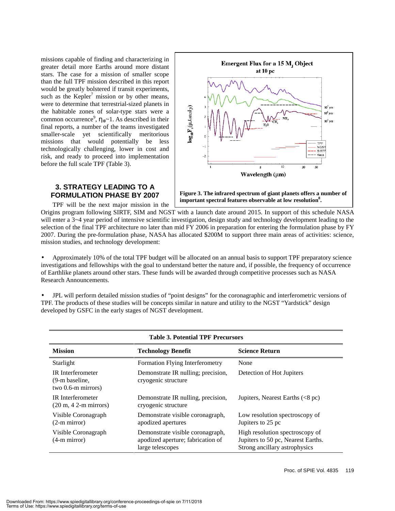missions capable of finding and characterizing in greater detail more Earths around more distant stars. The case for a mission of smaller scope than the full TPF mission described in this report would be greatly bolstered if transit experiments, such as the  $Kepler<sup>7</sup>$  mission or by other means, were to determine that terrestrial-sized planets in the habitable zones of solar-type stars were a common occurrence<sup>9</sup>,  $\eta_{\oplus}$ ~1. As described in their final reports, a number of the teams investigated smaller-scale yet scientifically meritorious missions that would potentially be less technologically challenging, lower in cost and risk, and ready to proceed into implementation before the full scale TPF (Table 3).



#### **3. STRATEGY LEADING TO A FORMULATION PHASE BY 2007**

TPF will be the next major mission in the

**Figure 3. The infrared spectrum of giant planets offers a number of important spectral features observable at low resolution8 .** 

Origins program following SIRTF, SIM and NGST with a launch date around 2015. In support of this schedule NASA will enter a 3~4 year period of intensive scientific investigation, design study and technology development leading to the selection of the final TPF architecture no later than mid FY 2006 in preparation for entering the formulation phase by FY 2007. During the pre-formulation phase, NASA has allocated \$200M to support three main areas of activities: science, mission studies, and technology development:

• Approximately 10% of the total TPF budget will be allocated on an annual basis to support TPF preparatory science investigations and fellowships with the goal to understand better the nature and, if possible, the frequency of occurrence of Earthlike planets around other stars. These funds will be awarded through competitive processes such as NASA Research Announcements.

• JPL will perform detailed mission studies of "point designs" for the coronagraphic and interferometric versions of TPF. The products of these studies will be concepts similar in nature and utility to the NGST "Yardstick" design developed by GSFC in the early stages of NGST development.

| <b>Table 3. Potential TPF Precursors</b>                                            |                                                                                           |                                                                                                        |
|-------------------------------------------------------------------------------------|-------------------------------------------------------------------------------------------|--------------------------------------------------------------------------------------------------------|
| <b>Mission</b>                                                                      | <b>Technology Benefit</b>                                                                 | <b>Science Return</b>                                                                                  |
| Starlight                                                                           | Formation Flying Interferometry                                                           | None                                                                                                   |
| <b>IR</b> Interferometer<br>(9-m baseline,<br>two $0.6$ -m mirrors)                 | Demonstrate IR nulling; precision,<br>cryogenic structure                                 | Detection of Hot Jupiters                                                                              |
| <b>IR</b> Interferometer<br>$(20 \text{ m}, 42 \text{ -} \text{m} \text{ mirrors})$ | Demonstrate IR nulling, precision,<br>cryogenic structure                                 | Jupiters, Nearest Earths $(<8$ pc)                                                                     |
| Visible Coronagraph<br>$(2-m \text{ mirror})$                                       | Demonstrate visible coronagraph,<br>apodized apertures                                    | Low resolution spectroscopy of<br>Jupiters to 25 pc                                                    |
| Visible Coronagraph<br>$(4-m$ mirror)                                               | Demonstrate visible coronagraph,<br>apodized aperture; fabrication of<br>large telescopes | High resolution spectroscopy of<br>Jupiters to 50 pc, Nearest Earths.<br>Strong ancillary astrophysics |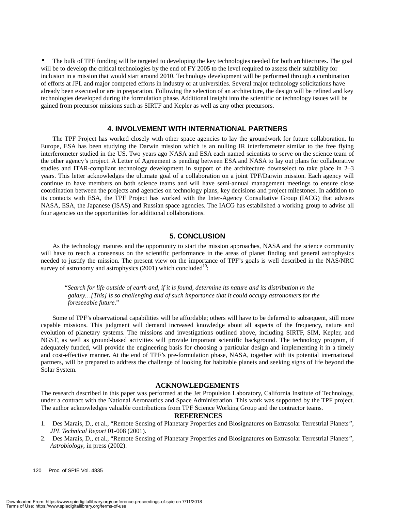• The bulk of TPF funding will be targeted to developing the key technologies needed for both architectures. The goal will be to develop the critical technologies by the end of FY 2005 to the level required to assess their suitability for inclusion in a mission that would start around 2010. Technology development will be performed through a combination of efforts at JPL and major competed efforts in industry or at universities. Several major technology solicitations have already been executed or are in preparation. Following the selection of an architecture, the design will be refined and key technologies developed during the formulation phase. Additional insight into the scientific or technology issues will be gained from precursor missions such as SIRTF and Kepler as well as any other precursors.

#### **4. INVOLVEMENT WITH INTERNATIONAL PARTNERS**

The TPF Project has worked closely with other space agencies to lay the groundwork for future collaboration. In Europe, ESA has been studying the Darwin mission which is an nulling IR interferometer similar to the free flying interferometer studied in the US. Two years ago NASA and ESA each named scientists to serve on the science team of the other agency's project. A Letter of Agreement is pending between ESA and NASA to lay out plans for collaborative studies and ITAR-compliant technology development in support of the architecture downselect to take place in 2–3 years. This letter acknowledges the ultimate goal of a collaboration on a joint TPF/Darwin mission. Each agency will continue to have members on both science teams and will have semi-annual management meetings to ensure close coordination between the projects and agencies on technology plans, key decisions and project milestones. In addition to its contacts with ESA, the TPF Project has worked with the Inter-Agency Consultative Group (IACG) that advises NASA, ESA, the Japanese (ISAS) and Russian space agencies. The IACG has established a working group to advise all four agencies on the opportunities for additional collaborations.

#### **5. CONCLUSION**

As the technology matures and the opportunity to start the mission approaches, NASA and the science community will have to reach a consensus on the scientific performance in the areas of planet finding and general astrophysics needed to justify the mission. The present view on the importance of TPF's goals is well described in the NAS/NRC survey of astronomy and astrophysics  $(2001)$  which concluded<sup>10</sup>:

*"Search for life outside of earth and, if it is found, determine its nature and its distribution in the galaxy…[This] is so challenging and of such importance that it could occupy astronomers for the foreseeable future*."

Some of TPF's observational capabilities will be affordable; others will have to be deferred to subsequent, still more capable missions. This judgment will demand increased knowledge about all aspects of the frequency, nature and evolution of planetary systems. The missions and investigations outlined above, including SIRTF, SIM, Kepler, and NGST, as well as ground-based activities will provide important scientific background. The technology program, if adequately funded, will provide the engineering basis for choosing a particular design and implementing it in a timely and cost-effective manner. At the end of TPF's pre-formulation phase, NASA, together with its potential international partners, will be prepared to address the challenge of looking for habitable planets and seeking signs of life beyond the Solar System.

#### **ACKNOWLEDGEMENTS**

The research described in this paper was performed at the Jet Propulsion Laboratory, California Institute of Technology, under a contract with the National Aeronautics and Space Administration. This work was supported by the TPF project. The author acknowledges valuable contributions from TPF Science Working Group and the contractor teams.

#### **REFERENCES**

- 1. Des Marais, D., et al., "Remote Sensing of Planetary Properties and Biosignatures on Extrasolar Terrestrial Planets*", JPL Technical Report* 01-008 (2001).
- 2. Des Marais, D., et al., "Remote Sensing of Planetary Properties and Biosignatures on Extrasolar Terrestrial Planets*", Astrobiology*, in press (2002).

120 Proc. of SPIE Vol. 4835